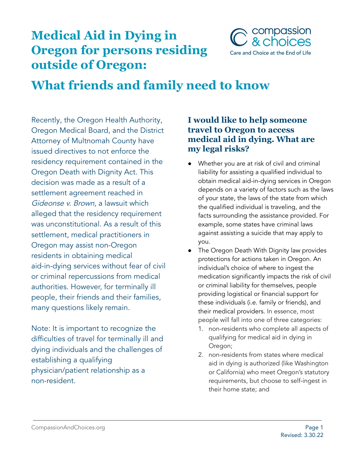## **Medical Aid in Dying in Oregon for persons residing outside of Oregon:**



# **What friends and family need to know**

Recently, the Oregon Health Authority, Oregon Medical Board, and the District Attorney of Multnomah County have issued directives to not enforce the residency requirement contained in the Oregon Death with Dignity Act. This decision was made as a result of a settlement agreement reached in Gideonse v. Brown, a lawsuit which alleged that the residency requirement was unconstitutional. As a result of this settlement, medical practitioners in Oregon may assist non-Oregon residents in obtaining medical aid-in-dying services without fear of civil or criminal repercussions from medical authorities. However, for terminally ill people, their friends and their families, many questions likely remain.

Note: It is important to recognize the difficulties of travel for terminally ill and dying individuals and the challenges of establishing a qualifying physician/patient relationship as a non-resident.

#### **I would like to help someone travel to Oregon to access medical aid in dying. What are my legal risks?**

- Whether you are at risk of civil and criminal liability for assisting a qualified individual to obtain medical aid-in-dying services in Oregon depends on a variety of factors such as the laws of your state, the laws of the state from which the qualified individual is traveling, and the facts surrounding the assistance provided. For example, some states have criminal laws against assisting a suicide that may apply to you.
- The Oregon Death With Dignity law provides protections for actions taken in Oregon. An individual's choice of where to ingest the medication significantly impacts the risk of civil or criminal liability for themselves, people providing logistical or financial support for these individuals (i.e. family or friends), and their medical providers. In essence, most people will fall into one of three categories:
	- 1. non-residents who complete all aspects of qualifying for medical aid in dying in Oregon;
	- 2. non-residents from states where medical aid in dying is authorized (like Washington or California) who meet Oregon's statutory requirements, but choose to self-ingest in their home state; and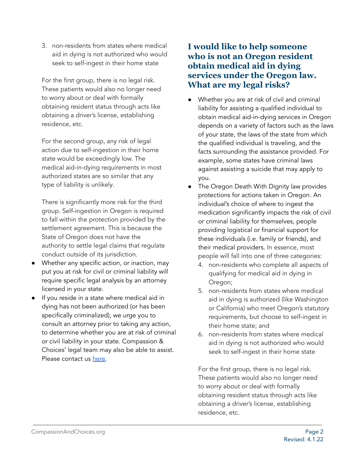3. non-residents from states where medical aid in dying is not authorized who would seek to self-ingest in their home state

For the first group, there is no legal risk. These patients would also no longer need to worry about or deal with formally obtaining resident status through acts like obtaining a driver's license, establishing residence, etc.

For the second group, any risk of legal action due to self-ingestion in their home state would be exceedingly low. The medical aid-in-dying requirements in most authorized states are so similar that any type of liability is unlikely.

There is significantly more risk for the third group. Self-ingestion in Oregon is required to fall within the protection provided by the settlement agreement. This is because the State of Oregon does not have the authority to settle legal claims that regulate conduct outside of its jurisdiction.

- Whether any specific action, or inaction, may put you at risk for civil or criminal liability will require specific legal analysis by an attorney licensed in your state.
- If you reside in a state where medical aid in dying has not been authorized (or has been specifically criminalized), we urge you to consult an attorney prior to taking any action, to determine whether you are at risk of criminal or civil liability in your state. Compassion & Choices' legal team may also be able to assist. Please contact us [here.](https://secure.everyaction.com/Gx1QcL5tL0intDt5ZYVK4A2)

#### **I would like to help someone who is not an Oregon resident obtain medical aid in dying services under the Oregon law. What are my legal risks?**

- Whether you are at risk of civil and criminal liability for assisting a qualified individual to obtain medical aid-in-dying services in Oregon depends on a variety of factors such as the laws of your state, the laws of the state from which the qualified individual is traveling, and the facts surrounding the assistance provided. For example, some states have criminal laws against assisting a suicide that may apply to you.
- The Oregon Death With Dignity law provides protections for actions taken in Oregon. An individual's choice of where to ingest the medication significantly impacts the risk of civil or criminal liability for themselves, people providing logistical or financial support for these individuals (i.e. family or friends), and their medical providers. In essence, most people will fall into one of three categories:
	- 4. non-residents who complete all aspects of qualifying for medical aid in dying in Oregon;
	- 5. non-residents from states where medical aid in dying is authorized (like Washington or California) who meet Oregon's statutory requirements, but choose to self-ingest in their home state; and
	- 6. non-residents from states where medical aid in dying is not authorized who would seek to self-ingest in their home state

For the first group, there is no legal risk. These patients would also no longer need to worry about or deal with formally obtaining resident status through acts like obtaining a driver's license, establishing residence, etc.